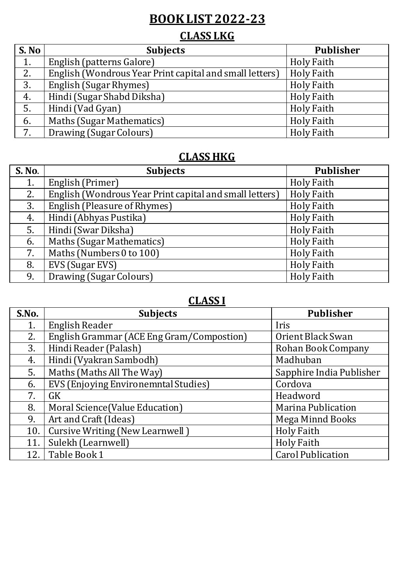# **BOOK LIST 2022-23**

# **CLASS LKG**

| S. No            | <b>Subjects</b>                                         | <b>Publisher</b>  |
|------------------|---------------------------------------------------------|-------------------|
| 1.               | English (patterns Galore)                               | <b>Holy Faith</b> |
| 2.               | English (Wondrous Year Print capital and small letters) | <b>Holy Faith</b> |
| $\overline{3}$ . | English (Sugar Rhymes)                                  | <b>Holy Faith</b> |
| 4.               | Hindi (Sugar Shabd Diksha)                              | <b>Holy Faith</b> |
| 5.               | Hindi (Vad Gyan)                                        | <b>Holy Faith</b> |
| 6.               | Maths (Sugar Mathematics)                               | <b>Holy Faith</b> |
| $7\overline{ }$  | Drawing (Sugar Colours)                                 | <b>Holy Faith</b> |

#### **CLASS HKG**

| <b>S. No.</b> | <b>Subjects</b>                                         | Publisher         |
|---------------|---------------------------------------------------------|-------------------|
| 1.            | English (Primer)                                        | <b>Holy Faith</b> |
| 2.            | English (Wondrous Year Print capital and small letters) | <b>Holy Faith</b> |
| 3.            | English (Pleasure of Rhymes)                            | <b>Holy Faith</b> |
| 4.            | Hindi (Abhyas Pustika)                                  | <b>Holy Faith</b> |
| 5.            | Hindi (Swar Diksha)                                     | <b>Holy Faith</b> |
| 6.            | Maths (Sugar Mathematics)                               | <b>Holy Faith</b> |
| 7.            | Maths (Numbers 0 to 100)                                | <b>Holy Faith</b> |
| 8.            | EVS (Sugar EVS)                                         | <b>Holy Faith</b> |
| 9.            | Drawing (Sugar Colours)                                 | <b>Holy Faith</b> |

## **CLASS I**

| S.No. | <b>Subjects</b>                           | <b>Publisher</b>          |
|-------|-------------------------------------------|---------------------------|
| 1.    | <b>English Reader</b>                     | Iris                      |
| 2.    | English Grammar (ACE Eng Gram/Compostion) | Orient Black Swan         |
| 3.    | Hindi Reader (Palash)                     | Rohan Book Company        |
| 4.    | Hindi (Vyakran Sambodh)                   | Madhuban                  |
| 5.    | Maths (Maths All The Way)                 | Sapphire India Publisher  |
| 6.    | EVS (Enjoying Environemntal Studies)      | Cordova                   |
| 7.    | <b>GK</b>                                 | Headword                  |
| 8.    | Moral Science (Value Education)           | <b>Marina Publication</b> |
| 9.    | Art and Craft (Ideas)                     | <b>Mega Minnd Books</b>   |
| 10.   | Cursive Writing (New Learnwell)           | <b>Holy Faith</b>         |
| 11.   | Sulekh (Learnwell)                        | <b>Holy Faith</b>         |
| 12.   | Table Book 1                              | <b>Carol Publication</b>  |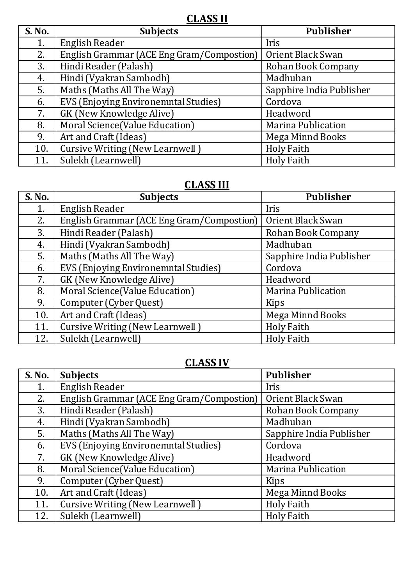**CLASS II**

| <b>S. No.</b> | <b>Subjects</b>                           | <b>Publisher</b>          |
|---------------|-------------------------------------------|---------------------------|
| 1.            | English Reader                            | Iris                      |
| 2.            | English Grammar (ACE Eng Gram/Compostion) | Orient Black Swan         |
| 3.            | Hindi Reader (Palash)                     | Rohan Book Company        |
| 4.            | Hindi (Vyakran Sambodh)                   | Madhuban                  |
| 5.            | Maths (Maths All The Way)                 | Sapphire India Publisher  |
| 6.            | EVS (Enjoying Environemntal Studies)      | Cordova                   |
| 7.            | GK (New Knowledge Alive)                  | Headword                  |
| 8.            | Moral Science(Value Education)            | <b>Marina Publication</b> |
| 9.            | Art and Craft (Ideas)                     | Mega Minnd Books          |
| 10.           | Cursive Writing (New Learnwell)           | <b>Holy Faith</b>         |
| 11.           | Sulekh (Learnwell)                        | <b>Holy Faith</b>         |

# **CLASS III**

| <b>S. No.</b> | <b>Subjects</b>                           | <b>Publisher</b>          |
|---------------|-------------------------------------------|---------------------------|
| 1.            | English Reader                            | Iris                      |
| 2.            | English Grammar (ACE Eng Gram/Compostion) | Orient Black Swan         |
| 3.            | Hindi Reader (Palash)                     | Rohan Book Company        |
| 4.            | Hindi (Vyakran Sambodh)                   | Madhuban                  |
| 5.            | Maths (Maths All The Way)                 | Sapphire India Publisher  |
| 6.            | EVS (Enjoying Environemntal Studies)      | Cordova                   |
| 7.            | GK (New Knowledge Alive)                  | Headword                  |
| 8.            | Moral Science(Value Education)            | <b>Marina Publication</b> |
| 9.            | Computer (Cyber Quest)                    | Kips                      |
| 10.           | Art and Craft (Ideas)                     | <b>Mega Minnd Books</b>   |
| 11.           | <b>Cursive Writing (New Learnwell)</b>    | <b>Holy Faith</b>         |
| 12.           | Sulekh (Learnwell)                        | <b>Holy Faith</b>         |

## **CLASS IV**

| <b>S. No.</b> | <b>Subjects</b>                           | Publisher                 |
|---------------|-------------------------------------------|---------------------------|
| 1.            | English Reader                            | Iris                      |
| 2.            | English Grammar (ACE Eng Gram/Compostion) | Orient Black Swan         |
| 3.            | Hindi Reader (Palash)                     | Rohan Book Company        |
| 4.            | Hindi (Vyakran Sambodh)                   | Madhuban                  |
| 5.            | Maths (Maths All The Way)                 | Sapphire India Publisher  |
| 6.            | EVS (Enjoying Environemntal Studies)      | Cordova                   |
| 7.            | GK (New Knowledge Alive)                  | Headword                  |
| 8.            | Moral Science(Value Education)            | <b>Marina Publication</b> |
| 9.            | Computer (Cyber Quest)                    | Kips                      |
| 10.           | Art and Craft (Ideas)                     | Mega Minnd Books          |
| 11.           | Cursive Writing (New Learnwell)           | <b>Holy Faith</b>         |
| 12.           | Sulekh (Learnwell)                        | <b>Holy Faith</b>         |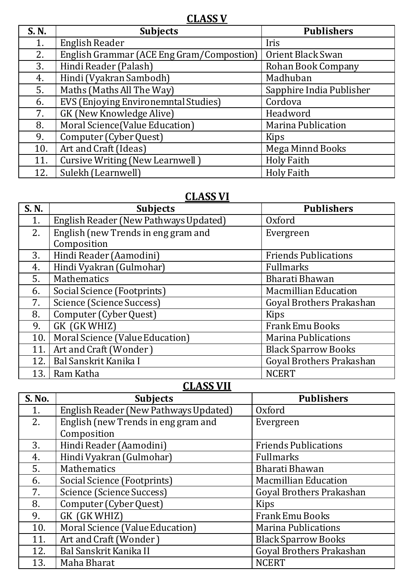**CLASS V**

| <b>S. N.</b> | <b>Subjects</b>                           | <b>Publishers</b>         |
|--------------|-------------------------------------------|---------------------------|
| 1.           | English Reader                            | Iris                      |
| 2.           | English Grammar (ACE Eng Gram/Compostion) | Orient Black Swan         |
| 3.           | Hindi Reader (Palash)                     | Rohan Book Company        |
| 4.           | Hindi (Vyakran Sambodh)                   | Madhuban                  |
| 5.           | Maths (Maths All The Way)                 | Sapphire India Publisher  |
| 6.           | EVS (Enjoying Environemntal Studies)      | Cordova                   |
| 7.           | GK (New Knowledge Alive)                  | Headword                  |
| 8.           | Moral Science(Value Education)            | <b>Marina Publication</b> |
| 9.           | Computer (Cyber Quest)                    | Kips                      |
| 10.          | Art and Craft (Ideas)                     | <b>Mega Minnd Books</b>   |
| 11.          | <b>Cursive Writing (New Learnwell)</b>    | <b>Holy Faith</b>         |
| 12.          | Sulekh (Learnwell)                        | <b>Holy Faith</b>         |

## **CLASS VI**

| S. N. | <b>Subjects</b>                       | <b>Publishers</b>           |
|-------|---------------------------------------|-----------------------------|
| 1.    | English Reader (New Pathways Updated) | Oxford                      |
| 2.    | English (new Trends in eng gram and   | Evergreen                   |
|       | Composition                           |                             |
| 3.    | Hindi Reader (Aamodini)               | <b>Friends Publications</b> |
| 4.    | Hindi Vyakran (Gulmohar)              | <b>Fullmarks</b>            |
| 5.    | <b>Mathematics</b>                    | Bharati Bhawan              |
| 6.    | Social Science (Footprints)           | <b>Macmillian Education</b> |
| 7.    | Science (Science Success)             | Goyal Brothers Prakashan    |
| 8.    | Computer (Cyber Quest)                | Kips                        |
| 9.    | GK (GK WHIZ)                          | <b>Frank Emu Books</b>      |
| 10.   | Moral Science (Value Education)       | <b>Marina Publications</b>  |
| 11.   | Art and Craft (Wonder)                | <b>Black Sparrow Books</b>  |
| 12.   | Bal Sanskrit Kanika I                 | Goyal Brothers Prakashan    |
| 13.   | Ram Katha                             | <b>NCERT</b>                |

## **CLASS VII**

| <b>S. No.</b> | <b>Subjects</b>                       | <b>Publishers</b>           |
|---------------|---------------------------------------|-----------------------------|
| 1.            | English Reader (New Pathways Updated) | Oxford                      |
| 2.            | English (new Trends in eng gram and   | Evergreen                   |
|               | Composition                           |                             |
| 3.            | Hindi Reader (Aamodini)               | <b>Friends Publications</b> |
| 4.            | Hindi Vyakran (Gulmohar)              | Fullmarks                   |
| 5.            | <b>Mathematics</b>                    | Bharati Bhawan              |
| 6.            | Social Science (Footprints)           | <b>Macmillian Education</b> |
| 7.            | Science (Science Success)             | Goyal Brothers Prakashan    |
| 8.            | Computer (Cyber Quest)                | Kips                        |
| 9.            | GK (GK WHIZ)                          | Frank Emu Books             |
| 10.           | Moral Science (Value Education)       | <b>Marina Publications</b>  |
| 11.           | Art and Craft (Wonder)                | <b>Black Sparrow Books</b>  |
| 12.           | Bal Sanskrit Kanika II                | Goyal Brothers Prakashan    |
| 13.           | Maha Bharat                           | <b>NCERT</b>                |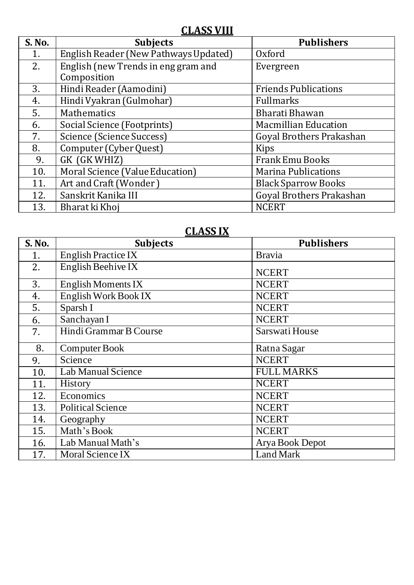## **CLASS VIII**

| S. No. | <b>Subjects</b>                       | <b>Publishers</b>           |
|--------|---------------------------------------|-----------------------------|
| 1.     | English Reader (New Pathways Updated) | Oxford                      |
| 2.     | English (new Trends in eng gram and   | Evergreen                   |
|        | Composition                           |                             |
| 3.     | Hindi Reader (Aamodini)               | <b>Friends Publications</b> |
| 4.     | Hindi Vyakran (Gulmohar)              | Fullmarks                   |
| 5.     | Mathematics                           | Bharati Bhawan              |
| 6.     | Social Science (Footprints)           | <b>Macmillian Education</b> |
| 7.     | Science (Science Success)             | Goyal Brothers Prakashan    |
| 8.     | Computer (Cyber Quest)                | Kips                        |
| 9.     | GK (GK WHIZ)                          | <b>Frank Emu Books</b>      |
| 10.    | Moral Science (Value Education)       | <b>Marina Publications</b>  |
| 11.    | Art and Craft (Wonder)                | <b>Black Sparrow Books</b>  |
| 12.    | Sanskrit Kanika III                   | Goyal Brothers Prakashan    |
| 13.    | Bharat ki Khoj                        | <b>NCERT</b>                |

#### **CLASS IX**

| <b>S. No.</b> | <b>Subjects</b>            | <b>Publishers</b> |
|---------------|----------------------------|-------------------|
| 1.            | <b>English Practice IX</b> | <b>Bravia</b>     |
| 2.            | English Beehive IX         | <b>NCERT</b>      |
| 3.            | English Moments IX         | <b>NCERT</b>      |
| 4.            | English Work Book IX       | <b>NCERT</b>      |
| 5.            | Sparsh I                   | <b>NCERT</b>      |
| 6.            | Sanchayan I                | <b>NCERT</b>      |
| 7.            | Hindi Grammar B Course     | Sarswati House    |
| 8.            | Computer Book              | Ratna Sagar       |
| 9.            | Science                    | <b>NCERT</b>      |
| 10.           | Lab Manual Science         | <b>FULL MARKS</b> |
| 11.           | History                    | <b>NCERT</b>      |
| 12.           | Economics                  | <b>NCERT</b>      |
| 13.           | <b>Political Science</b>   | <b>NCERT</b>      |
| 14.           | Geography                  | <b>NCERT</b>      |
| 15.           | Math's Book                | <b>NCERT</b>      |
| 16.           | Lab Manual Math's          | Arya Book Depot   |
| 17.           | Moral Science IX           | Land Mark         |